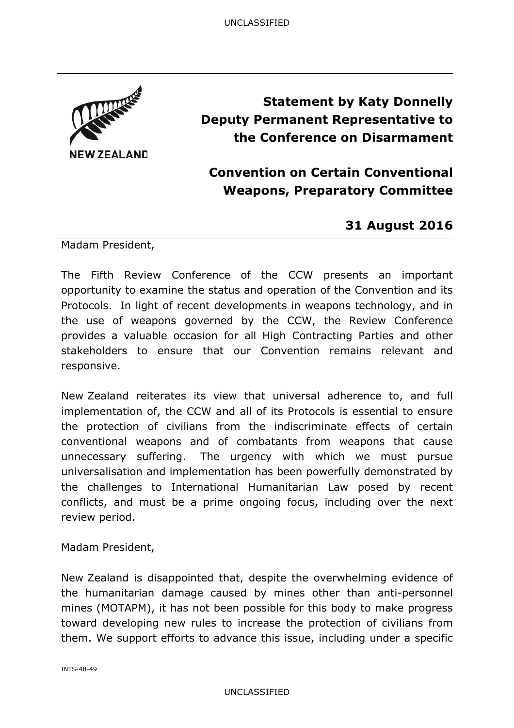

# **Statement by Katy Donnelly Deputy Permanent Representative to the Conference on Disarmament**

## **Convention on Certain Conventional Weapons, Preparatory Committee**

### **31 August 2016**

Madam President,

The Fifth Review Conference of the CCW presents an important opportunity to examine the status and operation of the Convention and its Protocols. In light of recent developments in weapons technology, and in the use of weapons governed by the CCW, the Review Conference provides a valuable occasion for all High Contracting Parties and other stakeholders to ensure that our Convention remains relevant and responsive.

New Zealand reiterates its view that universal adherence to, and full implementation of, the CCW and all of its Protocols is essential to ensure the protection of civilians from the indiscriminate effects of certain conventional weapons and of combatants from weapons that cause unnecessary suffering. The urgency with which we must pursue universalisation and implementation has been powerfully demonstrated by the challenges to International Humanitarian Law posed by recent conflicts, and must be a prime ongoing focus, including over the next review period.

Madam President,

New Zealand is disappointed that, despite the overwhelming evidence of the humanitarian damage caused by mines other than anti-personnel mines (MOTAPM), it has not been possible for this body to make progress toward developing new rules to increase the protection of civilians from them. We support efforts to advance this issue, including under a specific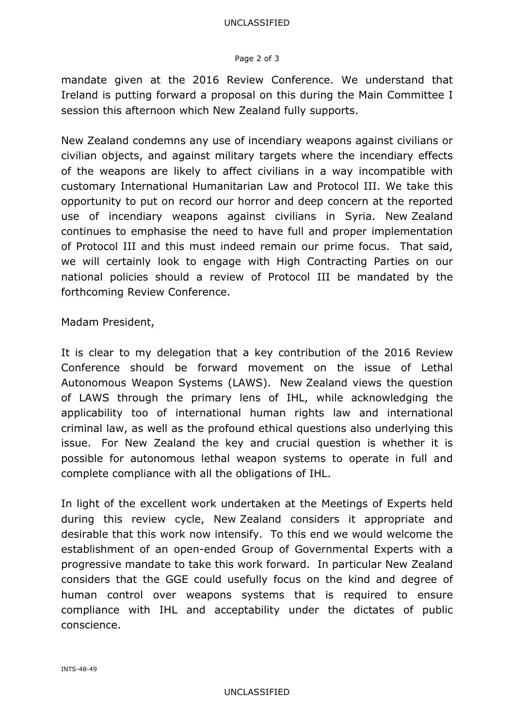#### Page 2 of 3

mandate given at the 2016 Review Conference. We understand that Ireland is putting forward a proposal on this during the Main Committee I session this afternoon which New Zealand fully supports.

New Zealand condemns any use of incendiary weapons against civilians or civilian objects, and against military targets where the incendiary effects of the weapons are likely to affect civilians in a way incompatible with customary International Humanitarian Law and Protocol III. We take this opportunity to put on record our horror and deep concern at the reported use of incendiary weapons against civilians in Syria. New Zealand continues to emphasise the need to have full and proper implementation of Protocol III and this must indeed remain our prime focus. That said, we will certainly look to engage with High Contracting Parties on our national policies should a review of Protocol III be mandated by the forthcoming Review Conference.

Madam President,

It is clear to my delegation that a key contribution of the 2016 Review Conference should be forward movement on the issue of Lethal Autonomous Weapon Systems (LAWS). New Zealand views the question of LAWS through the primary lens of IHL, while acknowledging the applicability too of international human rights law and international criminal law, as well as the profound ethical questions also underlying this issue. For New Zealand the key and crucial question is whether it is possible for autonomous lethal weapon systems to operate in full and complete compliance with all the obligations of IHL.

In light of the excellent work undertaken at the Meetings of Experts held during this review cycle, New Zealand considers it appropriate and desirable that this work now intensify. To this end we would welcome the establishment of an open-ended Group of Governmental Experts with a progressive mandate to take this work forward. In particular New Zealand considers that the GGE could usefully focus on the kind and degree of human control over weapons systems that is required to ensure compliance with IHL and acceptability under the dictates of public conscience.